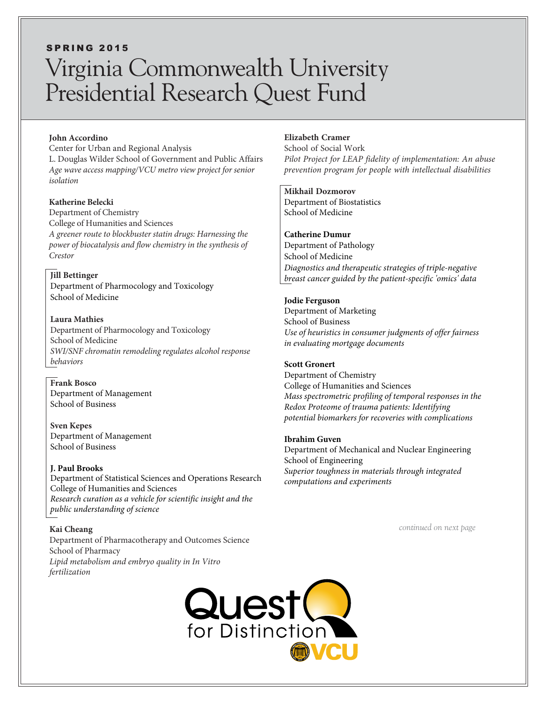# **SPRING 2015** Virginia Commonwealth University Presidential Research Quest Fund

#### **John Accordino**

Center for Urban and Regional Analysis L. Douglas Wilder School of Government and Public Affairs *Age wave access mapping/VCU metro view project for senior isolation*

**Katherine Belecki** Department of Chemistry College of Humanities and Sciences *A greener route to blockbuster statin drugs: Harnessing the power of biocatalysis and flow chemistry in the synthesis of Crestor*

**Jill Bettinger** Department of Pharmocology and Toxicology School of Medicine

#### **Laura Mathies**

Department of Pharmocology and Toxicology School of Medicine *SWI/SNF chromatin remodeling regulates alcohol response behaviors*

**Frank Bosco** Department of Management School of Business

**Sven Kepes** Department of Management School of Business

**J. Paul Brooks** Department of Statistical Sciences and Operations Research College of Humanities and Sciences *Research curation as a vehicle for scientific insight and the public understanding of science*

**Kai Cheang** Department of Pharmacotherapy and Outcomes Science School of Pharmacy *Lipid metabolism and embryo quality in In Vitro fertilization*

# **Elizabeth Cramer**

School of Social Work *Pilot Project for LEAP fidelity of implementation: An abuse prevention program for people with intellectual disabilities*

#### **Mikhail Dozmorov**

Department of Biostatistics School of Medicine

### **Catherine Dumur**

Department of Pathology School of Medicine *Diagnostics and therapeutic strategies of triple-negative breast cancer guided by the patient-specific 'omics' data*

#### **Jodie Ferguson**

Department of Marketing School of Business *Use of heuristics in consumer judgments of offer fairness in evaluating mortgage documents*

#### **Scott Gronert**

Department of Chemistry College of Humanities and Sciences *Mass spectrometric profiling of temporal responses in the Redox Proteome of trauma patients: Identifying potential biomarkers for recoveries with complications*

#### **Ibrahim Guven**

Department of Mechanical and Nuclear Engineering School of Engineering *Superior toughness in materials through integrated computations and experiments*

*continued on next page*